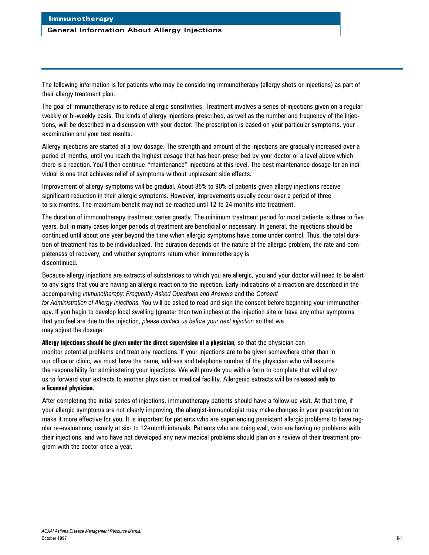# **General Information About Allergy Injections**

The following information is for patients who may be considering immunotherapy (allergy shots or injections) as part of their allergy treatment plan.

The goal of immunotherapy is to reduce allergic sensitivities. Treatment involves a series of injections given on a regular weekly or bi-weekly basis. The kinds of allergy injections prescribed, as well as the number and frequency of the injections, will be described in a discussion with your doctor. The prescription is based on your particular symptoms, your examination and your test results.

Allergy injections are started at a low dosage. The strength and amount of the injections are gradually increased over a period of months, until you reach the highest dosage that has been prescribed by your doctor or a level above which there is a reaction. You'll then continue "maintenance" injections at this level. The best maintenance dosage for an individual is one that achieves relief of symptoms without unpleasant side effects.

Improvement of allergy symptoms will be gradual. About 85% to 90% of patients given allergy injections receive significant reduction in their allergic symptoms. However, improvements usually occur over a period of three to six months. The maximum benefit may not be reached until 12 to 24 months into treatment.

The duration of immunotherapy treatment varies greatly. The minimum treatment period for most patients is three to five years, but in many cases longer periods of treatment are beneficial or necessary. In general, the injections should be continued until about one year beyond the time when allergic symptoms have come under control. Thus, the total duration of treatment has to be individualized. The duration depends on the nature of the allergic problem, the rate and completeness of recovery, and whether symptoms return when immunotherapy is discontinued.

Because allergy injections are extracts of substances to which you are allergic, you and your doctor will need to be alert to any signs that you are having an allergic reaction to the injection. Early indications of a reaction are described in the accompanying *Immunotherapy: Frequently Asked Questions and Answers* and the *Consent for Administration of Allergy Injections*. You will be asked to read and sign the consent before beginning your immunotherapy. If you begin to develop local swelling (greater than two inches) at the injection site or have any other symptoms that you feel are due to the injection, *please contact us before your next injection* so that we may adjust the dosage.

**Allergy injections should be given under the direct supervision of a physician,** so that the physician can monitor potential problems and treat any reactions. If your injections are to be given somewhere other than in our office or clinic, we must have the name, address and telephone number of the physician who will assume the responsibility for administering your injections. We will provide you with a form to complete that will allow us to forward your extracts to another physician or medical facility. Allergenic extracts will be released **only to a licensed physician.**

After completing the initial series of injections, immunotherapy patients should have a follow-up visit. At that time, if your allergic symptoms are not clearly improving, the allergist-immunologist may make changes in your prescription to make it more effective for you. It is important for patients who are experiencing persistent allergic problems to have regular re-evaluations, usually at six- to 12-month intervals. Patients who are doing well, who are having no problems with their injections, and who have not developed any new medical problems should plan on a review of their treatment program with the doctor once a year.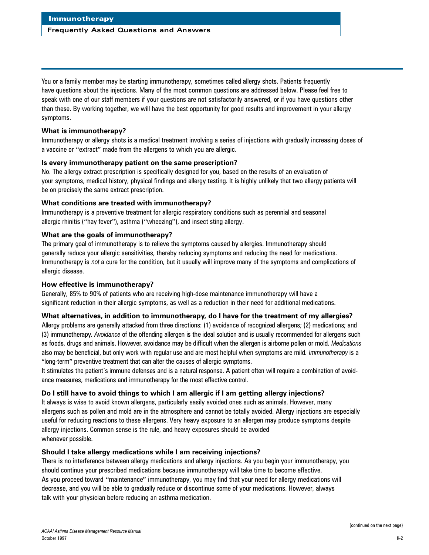# **Frequently Asked Questions and Answers**

You or a family member may be starting immunotherapy, sometimes called allergy shots. Patients frequently have questions about the injections. Many of the most common questions are addressed below. Please feel free to speak with one of our staff members if your questions are not satisfactorily answered, or if you have questions other than these. By working together, we will have the best opportunity for good results and improvement in your allergy symptoms.

# **What is immunotherapy?**

Immunotherapy or allergy shots is a medical treatment involving a series of injections with gradually increasing doses of a vaccine or "extract" made from the allergens to which you are allergic.

# **Is every immunotherapy patient on the same prescription?**

No. The allergy extract prescription is specifically designed for you, based on the results of an evaluation of your symptoms, medical history, physical findings and allergy testing. It is highly unlikely that two allergy patients will be on precisely the same extract prescription.

# **What conditions are treated with immunotherapy?**

Immunotherapy is a preventive treatment for allergic respiratory conditions such as perennial and seasonal allergic rhinitis ("hay fever"), asthma ("wheezing"), and insect sting allergy.

# **What are the goals of immunotherapy?**

The primary goal of immunotherapy is to relieve the symptoms caused by allergies. Immunotherapy should generally reduce your allergic sensitivities, thereby reducing symptoms and reducing the need for medications. Immunotherapy is *not* a cure for the condition, but it usually will improve many of the symptoms and complications of allergic disease.

# **How effective is immunotherapy?**

Generally, 85% to 90% of patients who are receiving high-dose maintenance immunotherapy will have a significant reduction in their allergic symptoms, as well as a reduction in their need for additional medications.

# **What alternatives, in addition to immunotherapy, do I have for the treatment of my allergies?**

Allergy problems are generally attacked from three directions: (1) avoidance of recognized allergens; (2) medications; and (3) immunotherapy. *Avoidance* of the offending allergen is the ideal solution and is usually recommended for allergens such as foods, drugs and animals. However, avoidance may be difficult when the allergen is airborne pollen or mold. Medications also may be beneficial, but only work with regular use and are most helpful when symptoms are mild. *Immunotherapy* is a "long-term" preventive treatment that can alter the causes of allergic symptoms.

It stimulates the patient's immune defenses and is a natural response. A patient often will require a combination of avoidance measures, medications and immunotherapy for the most effective control.

# **Do I still have to avoid things to which I am allergic if I am getting allergy injections?**

It always is wise to avoid known allergens, particularly easily avoided ones such as animals. However, many allergens such as pollen and mold are in the atmosphere and cannot be totally avoided. Allergy injections are especially useful for reducing reactions to these allergens. Very heavy exposure to an allergen may produce symptoms despite allergy injections. Common sense is the rule, and heavy exposures should be avoided whenever possible.

# **Should I take allergy medications while I am receiving injections?**

There is no interference between allergy medications and allergy injections. As you begin your immunotherapy, you should continue your prescribed medications because immunotherapy will take time to become effective. As you proceed toward "maintenance" immunotherapy, you may find that your need for allergy medications will decrease, and you will be able to gradually reduce or discontinue some of your medications. However, always talk with your physician before reducing an asthma medication.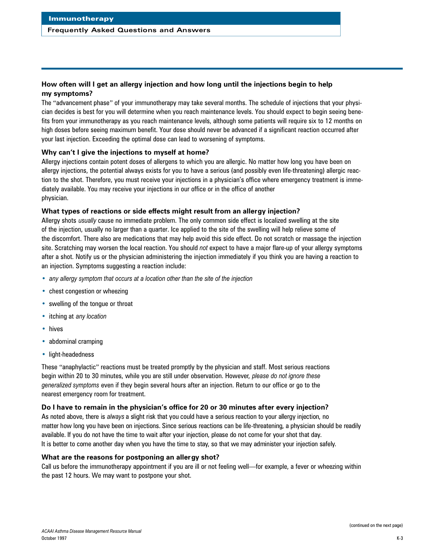#### **Frequently Asked Questions and Answers**

# **How often will I get an allergy injection and how long until the injections begin to help my symptoms?**

The "advancement phase" of your immunotherapy may take several months. The schedule of injections that your physician decides is best for you will determine when you reach maintenance levels. You should expect to begin seeing benefits from your immunotherapy as you reach maintenance levels, although some patients will require six to 12 months on high doses before seeing maximum benefit. Your dose should never be advanced if a significant reaction occurred after your last injection. Exceeding the optimal dose can lead to worsening of symptoms.

#### **Why can't I give the injections to myself at home?**

Allergy injections contain potent doses of allergens to which you are allergic. No matter how long you have been on allergy injections, the potential always exists for you to have a serious (and possibly even life-threatening) allergic reaction to the shot. Therefore, you must receive your injections in a physician's office where emergency treatment is immediately available. You may receive your injections in our office or in the office of another physician.

#### **What types of reactions or side effects might result from an allergy injection?**

Allergy shots *usually* cause no immediate problem. The only common side effect is localized swelling at the site of the injection, usually no larger than a quarter. Ice applied to the site of the swelling will help relieve some of the discomfort. There also are medications that may help avoid this side effect. Do not scratch or massage the injection site. Scratching may worsen the local reaction. You should *not* expect to have a major flare-up of your allergy symptoms after a shot. Notify us or the physician administering the injection immediately if you think you are having a reaction to an injection. Symptoms suggesting a reaction include:

- *any allergy symptom that occurs at a location other than the site of the injection*
- chest congestion or wheezing
- swelling of the tongue or throat
- itching at *any location*
- hives
- abdominal cramping
- light-headedness

These "anaphylactic" reactions must be treated promptly by the physician and staff. Most serious reactions begin within 20 to 30 minutes, while you are still under observation. However, *please do not ignore these generalized symptoms* even if they begin several hours after an injection. Return to our office or go to the nearest emergency room for treatment.

#### **Do I have to remain in the physician's office for 20 or 30 minutes after every injection?**

As noted above, there is *always* a slight risk that you could have a serious reaction to your allergy injection, no matter how long you have been on injections. Since serious reactions can be life-threatening, a physician should be readily available. If you do not have the time to wait after your injection, please do not come for your shot that day. It is better to come another day when you have the time to stay, so that we may administer your injection safely.

#### **What are the reasons for postponing an allergy shot?**

Call us before the immunotherapy appointment if you are ill or not feeling well—for example, a fever or wheezing within the past 12 hours. We may want to postpone your shot.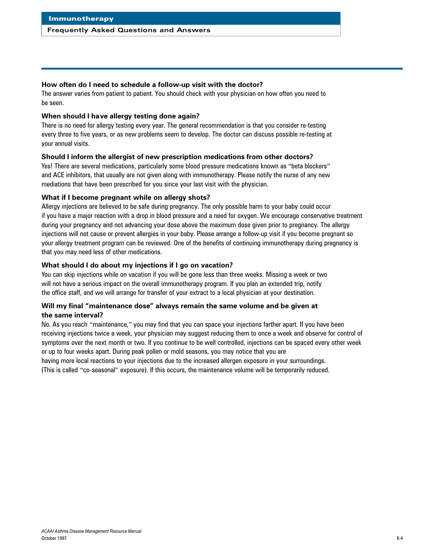#### **Frequently Asked Questions and Answers**

## **How often do I need to schedule a follow-up visit with the doctor?**

The answer varies from patient to patient. You should check with your physician on how often you need to be seen.

## **When should I have allergy testing done again?**

There is no need for allergy testing every year. The general recommendation is that you consider re-testing every three to five years, or as new problems seem to develop. The doctor can discuss possible re-testing at your annual visits.

# **Should I inform the allergist of new prescription medications from other doctors?**

Yes! There are several medications, particularly some blood pressure medications known as "beta blockers" and ACE inhibitors, that usually are not given along with immunotherapy. Please notify the nurse of any new mediations that have been prescribed for you since your last visit with the physician.

# **What if I become pregnant while on allergy shots?**

Allergy injections are believed to be safe during pregnancy. The only possible harm to your baby could occur if you have a major reaction with a drop in blood pressure and a need for oxygen. We encourage conservative treatment during your pregnancy and not advancing your dose above the maximum dose given prior to pregnancy. The allergy injections will not cause or prevent allergies in your baby. Please arrange a follow-up visit if you become pregnant so your allergy treatment program can be reviewed. One of the benefits of continuing immunotherapy during pregnancy is that you may need less of other medications.

# **What should I do about my injections if I go on vacation?**

You can skip injections while on vacation if you will be gone less than three weeks. Missing a week or two will not have a serious impact on the overall immunotherapy program. If you plan an extended trip, notify the office staff, and we will arrange for transfer of your extract to a local physician at your destination.

# **Will my final "maintenance dose" always remain the same volume and be given at the same interval?**

No. As you reach "maintenance," you may find that you can space your injections farther apart. If you have been receiving injections twice a week, your physician may suggest reducing them to once a week and observe for control of symptoms over the next month or two. If you continue to be well controlled, injections can be spaced every other week or up to four weeks apart. During peak pollen or mold seasons, you may notice that you are

having more local reactions to your injections due to the increased allergen exposure in your surroundings. (This is called "co-seasonal" exposure). If this occurs, the maintenance volume will be temporarily reduced.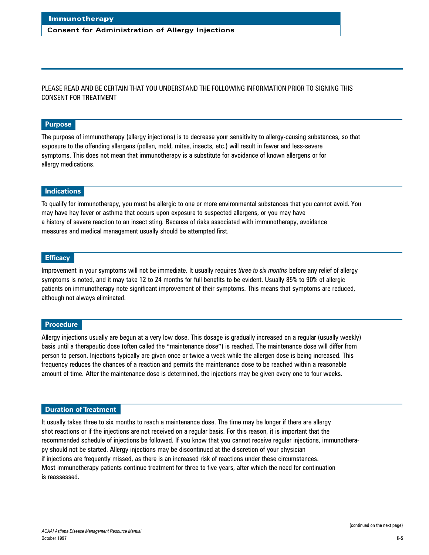#### **Consent for Administration of Allergy Injections**

PLEASE READ AND BE CERTAIN THAT YOU UNDERSTAND THE FOLLOWING INFORMATION PRIOR TO SIGNING THIS CONSENT FOR TREATMENT

#### **Purpose**

The purpose of immunotherapy (allergy injections) is to decrease your sensitivity to allergy-causing substances, so that exposure to the offending allergens (pollen, mold, mites, insects, etc.) will result in fewer and less-severe symptoms. This does not mean that immunotherapy is a substitute for avoidance of known allergens or for allergy medications.

#### **Indications**

To qualify for immunotherapy, you must be allergic to one or more environmental substances that you cannot avoid. You may have hay fever or asthma that occurs upon exposure to suspected allergens, or you may have a history of severe reaction to an insect sting. Because of risks associated with immunotherapy, avoidance measures and medical management usually should be attempted first.

#### **Efficacy**

Improvement in your symptoms will not be immediate. It usually requires *three to six months* before any relief of allergy symptoms is noted, and it may take 12 to 24 months for full benefits to be evident. Usually 85% to 90% of allergic patients on immunotherapy note significant improvement of their symptoms. This means that symptoms are reduced, although not always eliminated.

#### **Procedure**

Allergy injections usually are begun at a very low dose. This dosage is gradually increased on a regular (usually weekly) basis until a therapeutic dose (often called the "maintenance dose") is reached. The maintenance dose will differ from person to person. Injections typically are given once or twice a week while the allergen dose is being increased. This frequency reduces the chances of a reaction and permits the maintenance dose to be reached within a reasonable amount of time. After the maintenance dose is determined, the injections may be given every one to four weeks.

#### **Duration of Treatment**

It usually takes three to six months to reach a maintenance dose. The time may be longer if there are allergy shot reactions or if the injections are not received on a regular basis. For this reason, it is important that the recommended schedule of injections be followed. If you know that you cannot receive regular injections, immunotherapy should not be started. Allergy injections may be discontinued at the discretion of your physician if injections are frequently missed, as there is an increased risk of reactions under these circumstances. Most immunotherapy patients continue treatment for three to five years, after which the need for continuation is reassessed.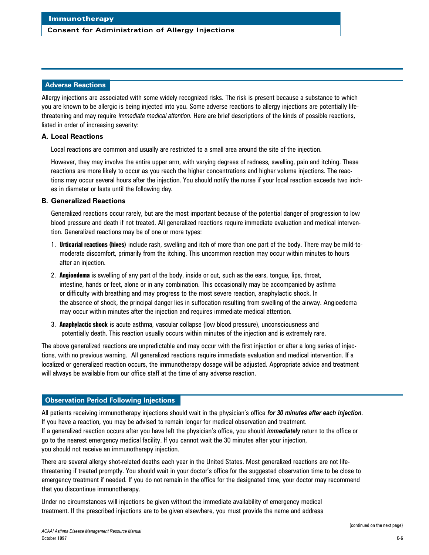#### **Consent for Administration of Allergy Injections**

#### **Ad verse Reactions**

Allergy injections are associated with some widely recognized risks. The risk is present because a substance to which you are known to be allergic is being injected into you. Some adverse reactions to allergy injections are potentially lifethreatening and may require *immediate medical attention.* Here are brief descriptions of the kinds of possible reactions, listed in order of increasing severity:

#### **A. Local Reactions**

Local reactions are common and usually are restricted to a small area around the site of the injection.

However, they may involve the entire upper arm, with varying degrees of redness, swelling, pain and itching. These reactions are more likely to occur as you reach the higher concentrations and higher volume injections. The reactions may occur several hours after the injection. You should notify the nurse if your local reaction exceeds two inches in diameter or lasts until the following day.

#### **B. Generalized Reactions**

Generalized reactions occur rarely, but are the most important because of the potential danger of progression to low blood pressure and death if not treated. All generalized reactions require immediate evaluation and medical intervention. Generalized reactions may be of one or more types:

- 1. **Urticarial reactions (hives)** include rash, swelling and itch of more than one part of the body. There may be mild-tomoderate discomfort, primarily from the itching. This uncommon reaction may occur within minutes to hours after an injection.
- 2. **Angioedema** is swelling of any part of the body, inside or out, such as the ears, tongue, lips, throat, intestine, hands or feet, alone or in any combination. This occasionally may be accompanied by asthma or difficulty with breathing and may progress to the most severe reaction, anaphylactic shock. In the absence of shock, the principal danger lies in suffocation resulting from swelling of the airway. Angioedema may occur within minutes after the injection and requires immediate medical attention.
- 3. **Anaphylactic shock** is acute asthma, vascular collapse (low blood pressure), unconsciousness and potentially death. This reaction usually occurs within minutes of the injection and is extremely rare.

The above generalized reactions are unpredictable and may occur with the first injection or after a long series of injections, with no previous warning. All generalized reactions require immediate evaluation and medical intervention. If a localized or generalized reaction occurs, the immunotherapy dosage will be adjusted. Appropriate advice and treatment will always be available from our office staff at the time of any adverse reaction.

#### **Observation Period Following Injections**

All patients receiving immunotherapy injections should wait in the physician's office *for 30 minutes after each injection.* If you have a reaction, you may be advised to remain longer for medical observation and treatment. If a generalized reaction occurs after you have left the physician's office, you should *immediately* return to the office or go to the nearest emergency medical facility. If you cannot wait the 30 minutes after your injection, you should not receive an immunotherapy injection.

There are several allergy shot-related deaths each year in the United States. Most generalized reactions are not lifethreatening if treated promptly. You should wait in your doctor's office for the suggested observation time to be close to emergency treatment if needed. If you do not remain in the office for the designated time, your doctor may recommend that you discontinue immunotherapy.

Under no circumstances will injections be given without the immediate availability of emergency medical treatment. If the prescribed injections are to be given elsewhere, you must provide the name and address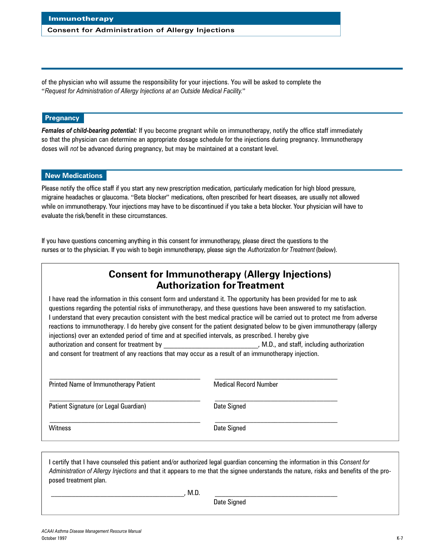#### **Consent for Administration of Allergy Injections**

of the physician who will assume the responsibility for your injections. You will be asked to complete the "*Request for Administration of Allergy Injections at an Outside Medical Facility.*"

# **Pregnancy**

*Females of child-bearing potential:* If you become pregnant while on immunotherapy, notify the office staff immediately so that the physician can determine an appropriate dosage schedule for the injections during pregnancy. Immunotherapy doses will *not* be advanced during pregnancy, but may be maintained at a constant level.

#### **New Medications**

Please notify the office staff if you start any new prescription medication, particularly medication for high blood pressure, migraine headaches or glaucoma. "Beta blocker" medications, often prescribed for heart diseases, are usually not allowed while on immunotherapy. Your injections may have to be discontinued if you take a beta blocker. Your physician will have to evaluate the risk/benefit in these circumstances.

If you have questions concerning anything in this consent for immunotherapy, please direct the questions to the nurses or to the physician. If you wish to begin immunotherapy, please sign the Authorization for Treatment (below).

# **Consent for Immunotherapy (Allergy Injections) Authorization for Treatment**

I have read the information in this consent form and understand it. The opportunity has been provided for me to ask questions regarding the potential risks of immunotherapy, and these questions have been answered to my satisfaction. I understand that every precaution consistent with the best medical practice will be carried out to protect me from adverse reactions to immunotherapy. I do hereby give consent for the patient designated below to be given immunotherapy (allergy injections) over an extended period of time and at specified intervals, as prescribed. I hereby give authorization and consent for treatment by  $M.D.,$  and staff, including authorization

and consent for treatment of any reactions that may occur as a result of an immunotherapy injection.

| Printed Name of Immunotherapy Patient | <b>Medical Record Number</b> |  |
|---------------------------------------|------------------------------|--|
| Patient Signature (or Legal Guardian) | Date Signed                  |  |
| <b>Witness</b>                        | Date Signed                  |  |

I certify that I have counseled this patient and/or authorized legal guardian concerning the information in this *Consent for Administration of Allergy Injections* and that it appears to me that the signee understands the nature, risks and benefits of the proposed treatment plan.

 $\blacksquare$  , M.D.  $\blacksquare$ 

Date Signed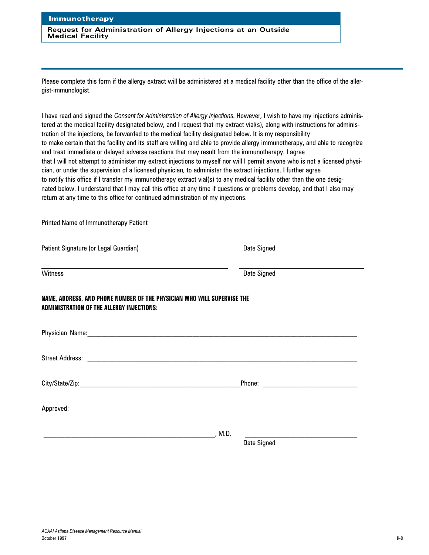**Request for Administration of Allergy Injections at an Outside Medical Facility**

Please complete this form if the allergy extract will be administered at a medical facility other than the office of the allergist-immunologist.

I have read and signed the *Consent for Administration of Allergy Injections*. However, I wish to have my injections administered at the medical facility designated below, and I request that my extract vial(s), along with instructions for administration of the injections, be forwarded to the medical facility designated below. It is my responsibility to make certain that the facility and its staff are willing and able to provide allergy immunotherapy, and able to recognize and treat immediate or delayed adverse reactions that may result from the immunotherapy. I agree that I will not attempt to administer my extract injections to myself nor will I permit anyone who is not a licensed physician, or under the supervision of a licensed physician, to administer the extract injections. I further agree to notify this office if I transfer my immunotherapy extract vial(s) to any medical facility other than the one designated below. I understand that I may call this office at any time if questions or problems develop, and that I also may return at any time to this office for continued administration of my injections.

| Printed Name of Immunotherapy Patient                                                                                       |                    |  |
|-----------------------------------------------------------------------------------------------------------------------------|--------------------|--|
| Patient Signature (or Legal Guardian)                                                                                       | <b>Date Signed</b> |  |
| Witness                                                                                                                     | Date Signed        |  |
| NAME, ADDRESS, AND PHONE NUMBER OF THE PHYSICIAN WHO WILL SUPERVISE THE<br><b>ADMINISTRATION OF THE ALLERGY INJECTIONS:</b> |                    |  |
|                                                                                                                             |                    |  |
|                                                                                                                             |                    |  |
|                                                                                                                             |                    |  |
| Approved:                                                                                                                   |                    |  |
|                                                                                                                             | , M.D.             |  |
|                                                                                                                             | Date Signed        |  |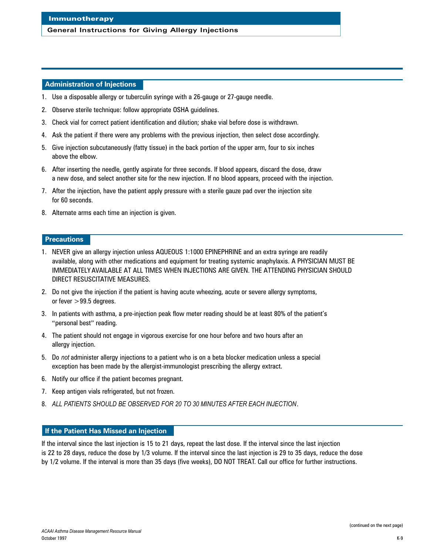#### **General Instructions for Giving Allergy Injections**

### **Administration of Injections**

- 1. Use a disposable allergy or tuberculin syringe with a 26-gauge or 27-gauge needle.
- 2. Observe sterile technique: follow appropriate OSHA guidelines.
- 3. Check vial for correct patient identification and dilution; shake vial before dose is withdrawn.
- 4. Ask the patient if there were any problems with the previous injection, then select dose accordingly.
- 5. Give injection subcutaneously (fatty tissue) in the back portion of the upper arm, four to six inches above the elbow.
- 6. After inserting the needle, gently aspirate for three seconds. If blood appears, discard the dose, draw a new dose, and select another site for the new injection. If no blood appears, proceed with the injection.
- 7. After the injection, have the patient apply pressure with a sterile gauze pad over the injection site for 60 seconds.
- 8. Alternate arms each time an injection is given.

# **Precautions**

- 1. NEVER give an allergy injection unless AQUEOUS 1:1000 EPINEPHRINE and an extra syringe are readily available, along with other medications and equipment for treating systemic anaphylaxis. A PHYSICIAN MUST BE IMMEDIATELY AVAILABLE AT ALL TIMES WHEN INJECTIONS ARE GIVEN. THE ATTENDING PHYSICIAN SHOULD DIRECT RESUSCITATIVE MEASURES.
- 2. Do not give the injection if the patient is having acute wheezing, acute or severe allergy symptoms, or fever  $>99.5$  degrees.
- 3. In patients with asthma, a pre-injection peak flow meter reading should be at least 80% of the patient's "personal best" reading.
- 4. The patient should not engage in vigorous exercise for one hour before and two hours after an allergy injection.
- 5. Do *not* administer allergy injections to a patient who is on a beta blocker medication unless a special exception has been made by the allergist-immunologist prescribing the allergy extract.
- 6. Notify our office if the patient becomes pregnant.
- 7. Keep antigen vials refrigerated, but not frozen.
- 8. *ALL PATIENTS SHOULD BE OBSERVED FOR 20 TO 30 MINUTES AFTER EACH INJECTION*.

# **If the Patient Has Missed an Injection**

If the interval since the last injection is 15 to 21 days, repeat the last dose. If the interval since the last injection is 22 to 28 days, reduce the dose by 1/3 volume. If the interval since the last injection is 29 to 35 days, reduce the dose by 1/2 volume. If the interval is more than 35 days (five weeks), DO NOT TREAT. Call our office for further instructions.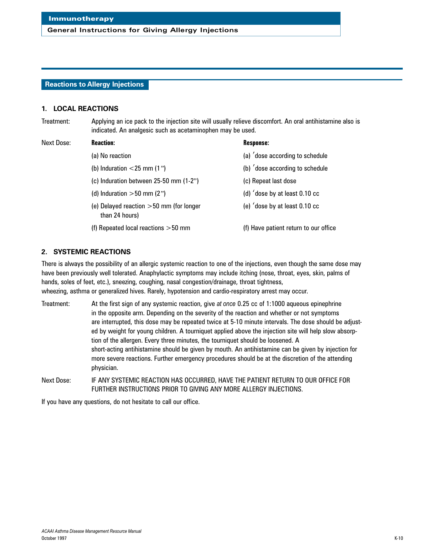#### **Reactions to Allergy Injections**

#### **1. LOCAL REACTIONS**

Treatment: Applying an ice pack to the injection site will usually relieve discomfort. An oral antihistamine also is indicated. An analgesic such as acetaminophen may be used.

#### Next Dose: **Reaction: Response:**

- 
- 
- (c) Induration between 25-50 mm (1-2") (c) Repeat last dose
- 
- (e) Delayed reaction  $>50$  mm (for longer  $\qquad$  (e) 'dose by at least 0.10 cc than 24 hours)
- (f) Repeated local reactions >50 mm (f) Have patient return to our office

- (a) No reaction (a) 'dose according to schedule
- (b) Induration  $\langle 25 \text{ mm} (1) \rangle$  (b)  $\langle \text{dose according to schedule}$ 
	-
- (d) Induration  $>50$  mm (2") (d)  $\dot{\theta}$  (d)  $\dot{\theta}$  dose by at least 0.10 cc
	-
	-

#### **2. SYSTEMIC REACTIONS**

There is always the possibility of an allergic systemic reaction to one of the injections, even though the same dose may have been previously well tolerated. Anaphylactic symptoms may include itching (nose, throat, eyes, skin, palms of hands, soles of feet, etc.), sneezing, coughing, nasal congestion/drainage, throat tightness, wheezing, asthma or generalized hives. Rarely, hypotension and cardio-respiratory arrest may occur.

Treatment: At the first sign of any systemic reaction, give *at once* 0.25 cc of 1:1000 aqueous epinephrine in the opposite arm. Depending on the severity of the reaction and whether or not symptoms are interrupted, this dose may be repeated twice at 5-10 minute intervals. The dose should be adjusted by weight for young children. A tourniquet applied above the injection site will help slow absorption of the allergen. Every three minutes, the tourniquet should be loosened. A short-acting antihistamine should be given by mouth. An antihistamine can be given by injection for more severe reactions. Further emergency procedures should be at the discretion of the attending physician.

Next Dose: IF ANY SYSTEMIC REACTION HAS OCCURRED, HAVE THE PATIENT RETURN TO OUR OFFICE FOR FURTHER INSTRUCTIONS PRIOR TO GIVING ANY MORE ALLERGY INJECTIONS.

If you have any questions, do not hesitate to call our office.